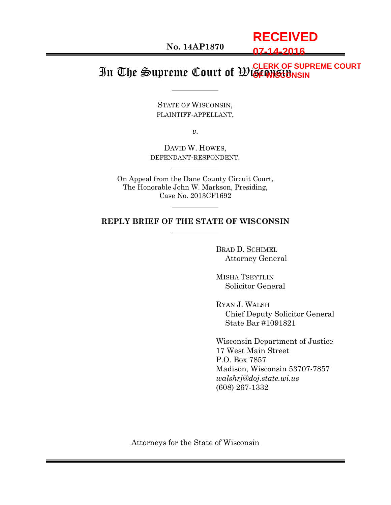**RECEIVED 07-14-2016**

#### In The Supreme Court of Wisconsin **CLERK OF SUPREME COURT OF WISCONSIN**

STATE OF WISCONSIN, PLAINTIFF-APPELLANT,

*v.*

DAVID W. HOWES, DEFENDANT-RESPONDENT.

On Appeal from the Dane County Circuit Court, The Honorable John W. Markson, Presiding, Case No. 2013CF1692

#### **REPLY BRIEF OF THE STATE OF WISCONSIN**

BRAD D. SCHIMEL Attorney General

MISHA TSEYTLIN Solicitor General

RYAN J. WALSH Chief Deputy Solicitor General State Bar #1091821

Wisconsin Department of Justice 17 West Main Street P.O. Box 7857 Madison, Wisconsin 53707-7857 *walshrj@doj.state.wi.us* (608) 267-1332

Attorneys for the State of Wisconsin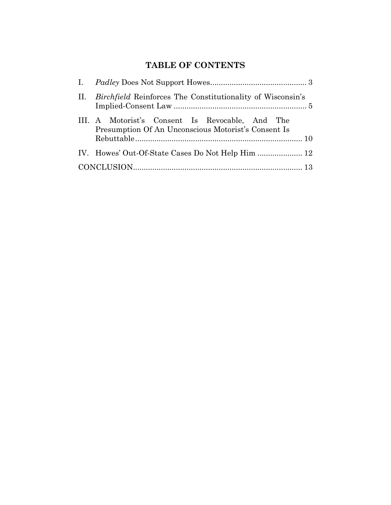# **TABLE OF CONTENTS**

| II. <i>Birchfield</i> Reinforces The Constitutionality of Wisconsin's                                  |
|--------------------------------------------------------------------------------------------------------|
| III. A Motorist's Consent Is Revocable, And The<br>Presumption Of An Unconscious Motorist's Consent Is |
|                                                                                                        |
|                                                                                                        |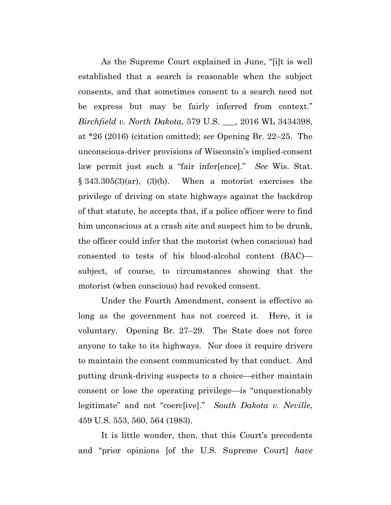As the Supreme Court explained in June, "[i]t is well established that a search is reasonable when the subject consents, and that sometimes consent to a search need not be express but may be fairly inferred from context." *Birchfield v. North Dakota*, 579 U.S. \_\_\_, 2016 WL 3434398, at \*26 (2016) (citation omitted); *see* Opening Br. 22–25. The unconscious-driver provisions of Wisconsin's implied-consent law permit just such a "fair infer[ence]." *See* Wis. Stat.  $§ 343.305(3)(ar), (3)(b).$  When a motorist exercises the privilege of driving on state highways against the backdrop of that statute, he accepts that, if a police officer were to find him unconscious at a crash site and suspect him to be drunk, the officer could infer that the motorist (when conscious) had consented to tests of his blood-alcohol content (BAC) subject, of course, to circumstances showing that the motorist (when conscious) had revoked consent.

Under the Fourth Amendment, consent is effective so long as the government has not coerced it. Here, it is voluntary. Opening Br. 27–29. The State does not force anyone to take to its highways. Nor does it require drivers to maintain the consent communicated by that conduct. And putting drunk-driving suspects to a choice—either maintain consent or lose the operating privilege—is "unquestionably legitimate" and not "coerc[ive]." *South Dakota v. Neville*, 459 U.S. 553, 560, 564 (1983).

It is little wonder, then, that this Court's precedents and "prior opinions [of the U.S. Supreme Court] *have*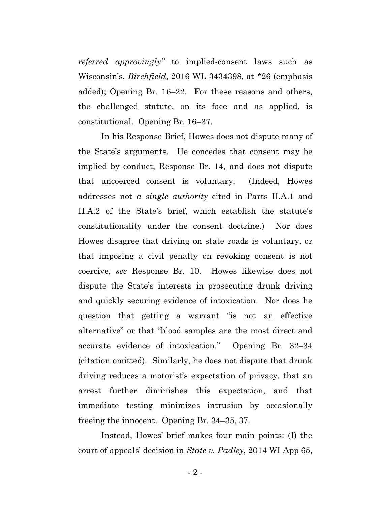*referred approvingly"* to implied-consent laws such as Wisconsin's, *Birchfield*, 2016 WL 3434398, at \*26 (emphasis added); Opening Br. 16–22. For these reasons and others, the challenged statute, on its face and as applied, is constitutional. Opening Br. 16–37.

In his Response Brief, Howes does not dispute many of the State's arguments. He concedes that consent may be implied by conduct, Response Br. 14, and does not dispute that uncoerced consent is voluntary. (Indeed, Howes addresses not *a single authority* cited in Parts II.A.1 and II.A.2 of the State's brief, which establish the statute's constitutionality under the consent doctrine.) Nor does Howes disagree that driving on state roads is voluntary, or that imposing a civil penalty on revoking consent is not coercive, *see* Response Br. 10. Howes likewise does not dispute the State's interests in prosecuting drunk driving and quickly securing evidence of intoxication. Nor does he question that getting a warrant "is not an effective alternative" or that "blood samples are the most direct and accurate evidence of intoxication." Opening Br. 32–34 (citation omitted). Similarly, he does not dispute that drunk driving reduces a motorist's expectation of privacy, that an arrest further diminishes this expectation, and that immediate testing minimizes intrusion by occasionally freeing the innocent. Opening Br. 34–35, 37.

Instead, Howes' brief makes four main points: (I) the court of appeals' decision in *State v. Padley*, 2014 WI App 65,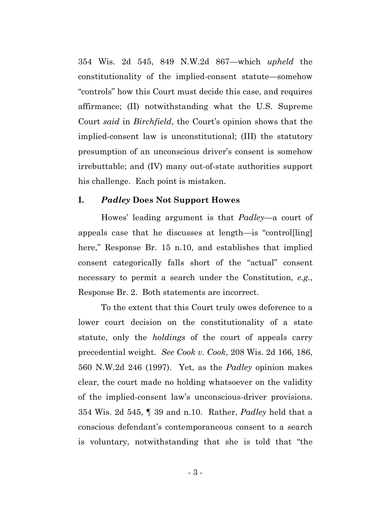354 Wis. 2d 545, 849 N.W.2d 867—which *upheld* the constitutionality of the implied-consent statute—somehow "controls" how this Court must decide this case, and requires affirmance; (II) notwithstanding what the U.S. Supreme Court *said* in *Birchfield*, the Court's opinion shows that the implied-consent law is unconstitutional; (III) the statutory presumption of an unconscious driver's consent is somehow irrebuttable; and (IV) many out-of-state authorities support his challenge. Each point is mistaken.

#### <span id="page-4-0"></span>**I.** *Padley* **Does Not Support Howes**

Howes' leading argument is that *Padley*—a court of appeals case that he discusses at length—is "control[ling] here," Response Br. 15 n.10, and establishes that implied consent categorically falls short of the "actual" consent necessary to permit a search under the Constitution, *e.g.*, Response Br. 2. Both statements are incorrect.

To the extent that this Court truly owes deference to a lower court decision on the constitutionality of a state statute, only the *holdings* of the court of appeals carry precedential weight. *See Cook v. Cook*, 208 Wis. 2d 166, 186, 560 N.W.2d 246 (1997). Yet, as the *Padley* opinion makes clear, the court made no holding whatsoever on the validity of the implied-consent law's unconscious-driver provisions. 354 Wis. 2d 545, ¶ 39 and n.10. Rather, *Padley* held that a conscious defendant's contemporaneous consent to a search is voluntary, notwithstanding that she is told that "the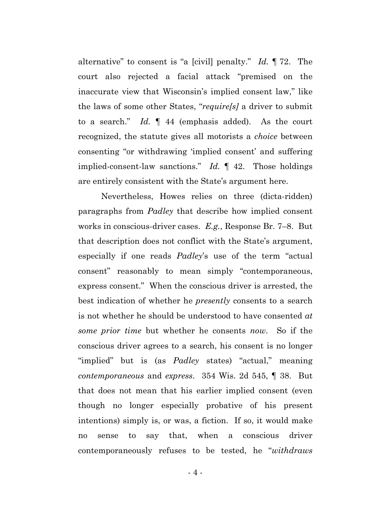alternative" to consent is "a [civil] penalty." *Id.* ¶ 72. The court also rejected a facial attack "premised on the inaccurate view that Wisconsin's implied consent law," like the laws of some other States, "*require[s]* a driver to submit to a search." *Id.* ¶ 44 (emphasis added). As the court recognized, the statute gives all motorists a *choice* between consenting "or withdrawing 'implied consent' and suffering implied-consent-law sanctions." *Id.* ¶ 42. Those holdings are entirely consistent with the State's argument here.

Nevertheless, Howes relies on three (dicta-ridden) paragraphs from *Padley* that describe how implied consent works in conscious-driver cases. *E.g.*, Response Br. 7–8. But that description does not conflict with the State's argument, especially if one reads *Padley*'s use of the term "actual consent" reasonably to mean simply "contemporaneous, express consent." When the conscious driver is arrested, the best indication of whether he *presently* consents to a search is not whether he should be understood to have consented *at some prior time* but whether he consents *now*. So if the conscious driver agrees to a search, his consent is no longer "implied" but is (as *Padley* states) "actual," meaning *contemporaneous* and *express*. 354 Wis. 2d 545, ¶ 38. But that does not mean that his earlier implied consent (even though no longer especially probative of his present intentions) simply is, or was, a fiction. If so, it would make no sense to say that, when a conscious driver contemporaneously refuses to be tested, he "*withdraws*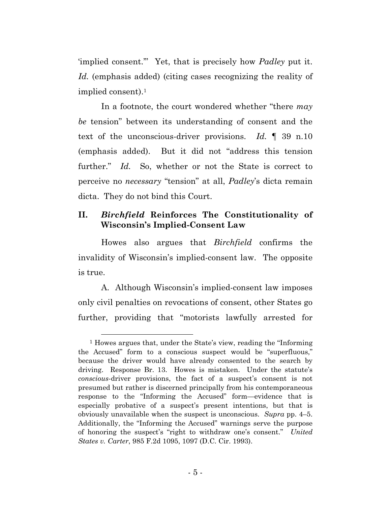'implied consent.'" Yet, that is precisely how *Padley* put it. *Id.* (emphasis added) (citing cases recognizing the reality of implied consent).1

In a footnote, the court wondered whether "there *may be* tension" between its understanding of consent and the text of the unconscious-driver provisions. *Id.* ¶ 39 n.10 (emphasis added). But it did not "address this tension further." *Id.* So, whether or not the State is correct to perceive no *necessary* "tension" at all, *Padley*'s dicta remain dicta. They do not bind this Court.

### <span id="page-6-0"></span>**II.** *Birchfield* **Reinforces The Constitutionality of Wisconsin's Implied-Consent Law**

Howes also argues that *Birchfield* confirms the invalidity of Wisconsin's implied-consent law. The opposite is true.

A. Although Wisconsin's implied-consent law imposes only civil penalties on revocations of consent, other States go further, providing that "motorists lawfully arrested for

 <sup>1</sup> Howes argues that, under the State's view, reading the "Informing the Accused" form to a conscious suspect would be "superfluous," because the driver would have already consented to the search by driving. Response Br. 13. Howes is mistaken. Under the statute's *conscious*-driver provisions, the fact of a suspect's consent is not presumed but rather is discerned principally from his contemporaneous response to the "Informing the Accused" form—evidence that is especially probative of a suspect's present intentions, but that is obviously unavailable when the suspect is unconscious. *Supra* pp. 4–5. Additionally, the "Informing the Accused" warnings serve the purpose of honoring the suspect's "right to withdraw one's consent." *United States v. Carter*, 985 F.2d 1095, 1097 (D.C. Cir. 1993).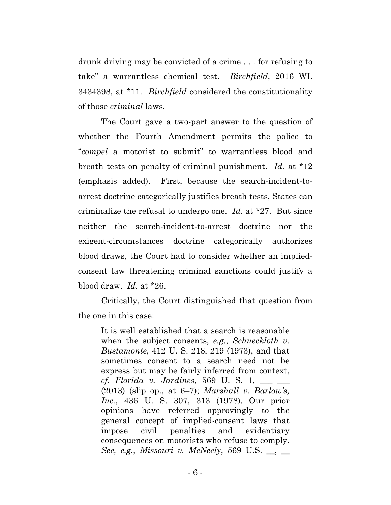drunk driving may be convicted of a crime . . . for refusing to take" a warrantless chemical test. *Birchfield*, 2016 WL 3434398, at \*11. *Birchfield* considered the constitutionality of those *criminal* laws.

The Court gave a two-part answer to the question of whether the Fourth Amendment permits the police to "*compel* a motorist to submit" to warrantless blood and breath tests on penalty of criminal punishment. *Id.* at \*12 (emphasis added). First, because the search-incident-toarrest doctrine categorically justifies breath tests, States can criminalize the refusal to undergo one. *Id.* at \*27. But since neither the search-incident-to-arrest doctrine nor the exigent-circumstances doctrine categorically authorizes blood draws, the Court had to consider whether an impliedconsent law threatening criminal sanctions could justify a blood draw. *Id.* at \*26.

Critically, the Court distinguished that question from the one in this case:

It is well established that a search is reasonable when the subject consents, *e.g.*, *Schneckloth v. Bustamonte*, 412 U. S. 218, 219 (1973), and that sometimes consent to a search need not be express but may be fairly inferred from context, *cf. Florida v. Jardines*, 569 U. S. 1, \_\_\_–\_\_\_ (2013) (slip op., at 6–7); *Marshall v. Barlow's, Inc.*, 436 U. S. 307, 313 (1978). Our prior opinions have referred approvingly to the general concept of implied-consent laws that impose civil penalties and evidentiary consequences on motorists who refuse to comply. *See, e.g.*, *Missouri v. McNeely*, 569 U.S. \_\_, \_\_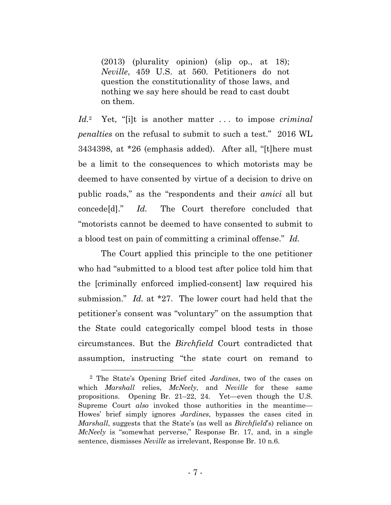(2013) (plurality opinion) (slip op., at 18); *Neville*, 459 U.S. at 560. Petitioners do not question the constitutionality of those laws, and nothing we say here should be read to cast doubt on them.

*Id.*2 Yet, "[i]t is another matter . . . to impose *criminal penalties* on the refusal to submit to such a test." 2016 WL 3434398, at \*26 (emphasis added). After all, "[t]here must be a limit to the consequences to which motorists may be deemed to have consented by virtue of a decision to drive on public roads," as the "respondents and their *amici* all but concede[d]." *Id.* The Court therefore concluded that "motorists cannot be deemed to have consented to submit to a blood test on pain of committing a criminal offense." *Id.*

The Court applied this principle to the one petitioner who had "submitted to a blood test after police told him that the [criminally enforced implied-consent] law required his submission." *Id.* at \*27. The lower court had held that the petitioner's consent was "voluntary" on the assumption that the State could categorically compel blood tests in those circumstances. But the *Birchfield* Court contradicted that assumption, instructing "the state court on remand to

 <sup>2</sup> The State's Opening Brief cited *Jardines*, two of the cases on which *Marshall* relies, *McNeely*, and *Neville* for these same propositions. Opening Br. 21–22, 24. Yet—even though the U.S. Supreme Court *also* invoked those authorities in the meantime— Howes' brief simply ignores *Jardines*, bypasses the cases cited in *Marshall*, suggests that the State's (as well as *Birchfield*'s) reliance on *McNeely* is "somewhat perverse," Response Br. 17, and, in a single sentence, dismisses *Neville* as irrelevant, Response Br. 10 n.6.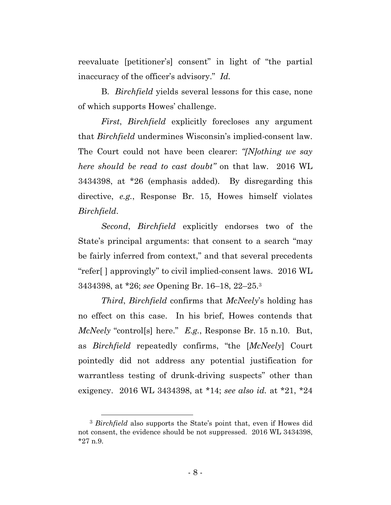reevaluate [petitioner's] consent" in light of "the partial inaccuracy of the officer's advisory." *Id.*

B. *Birchfield* yields several lessons for this case, none of which supports Howes' challenge.

*First*, *Birchfield* explicitly forecloses any argument that *Birchfield* undermines Wisconsin's implied-consent law. The Court could not have been clearer: *"[N]othing we say here should be read to cast doubt"* on that law. 2016 WL 3434398, at \*26 (emphasis added). By disregarding this directive, *e.g.*, Response Br. 15, Howes himself violates *Birchfield*.

*Second*, *Birchfield* explicitly endorses two of the State's principal arguments: that consent to a search "may be fairly inferred from context," and that several precedents "refer[ ] approvingly" to civil implied-consent laws. 2016 WL 3434398, at \*26; *see* Opening Br. 16–18, 22–25.3

*Third*, *Birchfield* confirms that *McNeely*'s holding has no effect on this case. In his brief, Howes contends that *McNeely* "control[s] here." *E.g.*, Response Br. 15 n.10. But, as *Birchfield* repeatedly confirms, "the [*McNeely*] Court pointedly did not address any potential justification for warrantless testing of drunk-driving suspects" other than exigency. 2016 WL 3434398, at \*14; *see also id.* at \*21, \*24

 <sup>3</sup> *Birchfield* also supports the State's point that, even if Howes did not consent, the evidence should be not suppressed. 2016 WL 3434398, \*27 n.9.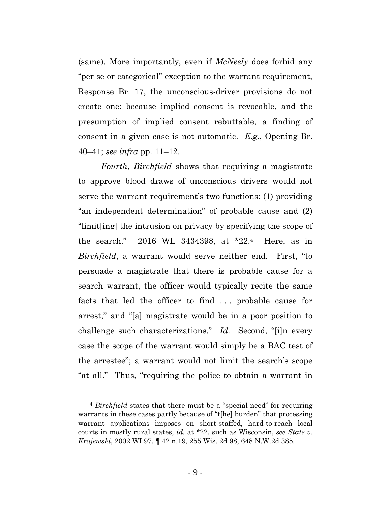(same). More importantly, even if *McNeely* does forbid any "per se or categorical" exception to the warrant requirement, Response Br. 17, the unconscious-driver provisions do not create one: because implied consent is revocable, and the presumption of implied consent rebuttable, a finding of consent in a given case is not automatic. *E.g.*, Opening Br. 40–41; *see infra* pp. 11–12.

*Fourth*, *Birchfield* shows that requiring a magistrate to approve blood draws of unconscious drivers would not serve the warrant requirement's two functions: (1) providing "an independent determination" of probable cause and (2) "limit[ing] the intrusion on privacy by specifying the scope of the search." 2016 WL 3434398, at \*22.4 Here, as in *Birchfield*, a warrant would serve neither end. First, "to persuade a magistrate that there is probable cause for a search warrant, the officer would typically recite the same facts that led the officer to find ... probable cause for arrest," and "[a] magistrate would be in a poor position to challenge such characterizations." *Id.* Second, "[i]n every case the scope of the warrant would simply be a BAC test of the arrestee"; a warrant would not limit the search's scope "at all." Thus, "requiring the police to obtain a warrant in

 <sup>4</sup> *Birchfield* states that there must be a "special need" for requiring warrants in these cases partly because of "t[he] burden" that processing warrant applications imposes on short-staffed, hard-to-reach local courts in mostly rural states, *id.* at \*22, such as Wisconsin, *see State v. Krajewski*, 2002 WI 97, ¶ 42 n.19, 255 Wis. 2d 98, 648 N.W.2d 385.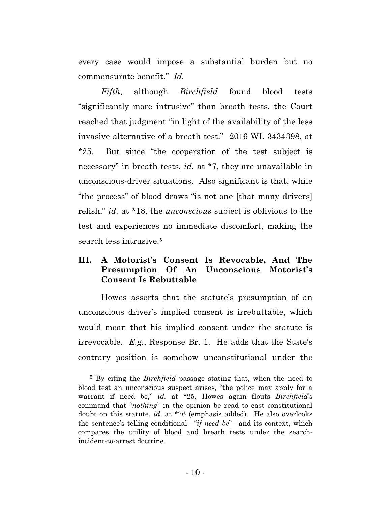every case would impose a substantial burden but no commensurate benefit." *Id.* 

*Fifth*, although *Birchfield* found blood tests "significantly more intrusive" than breath tests, the Court reached that judgment "in light of the availability of the less invasive alternative of a breath test." 2016 WL 3434398, at \*25. But since "the cooperation of the test subject is necessary" in breath tests, *id.* at \*7, they are unavailable in unconscious-driver situations. Also significant is that, while "the process" of blood draws "is not one [that many drivers] relish," *id.* at \*18, the *unconscious* subject is oblivious to the test and experiences no immediate discomfort, making the search less intrusive.5

## <span id="page-11-0"></span>**III. A Motorist's Consent Is Revocable, And The Presumption Of An Unconscious Motorist's Consent Is Rebuttable**

Howes asserts that the statute's presumption of an unconscious driver's implied consent is irrebuttable, which would mean that his implied consent under the statute is irrevocable. *E.g.*, Response Br. 1. He adds that the State's contrary position is somehow unconstitutional under the

 <sup>5</sup> By citing the *Birchfield* passage stating that, when the need to blood test an unconscious suspect arises, "the police may apply for a warrant if need be," *id.* at \*25, Howes again flouts *Birchfield*'s command that "*nothing*" in the opinion be read to cast constitutional doubt on this statute, *id.* at \*26 (emphasis added). He also overlooks the sentence's telling conditional—"*if need be*"—and its context, which compares the utility of blood and breath tests under the searchincident-to-arrest doctrine.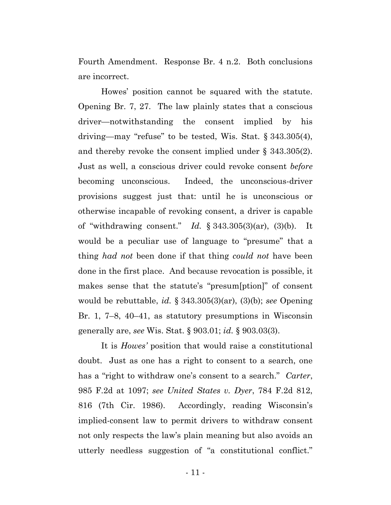Fourth Amendment. Response Br. 4 n.2. Both conclusions are incorrect.

Howes' position cannot be squared with the statute. Opening Br. 7, 27. The law plainly states that a conscious driver—notwithstanding the consent implied by his driving—may "refuse" to be tested, Wis. Stat. § 343.305(4), and thereby revoke the consent implied under § 343.305(2). Just as well, a conscious driver could revoke consent *before* becoming unconscious. Indeed, the unconscious-driver provisions suggest just that: until he is unconscious or otherwise incapable of revoking consent, a driver is capable of "withdrawing consent." *Id.* § 343.305(3)(ar), (3)(b). It would be a peculiar use of language to "presume" that a thing *had not* been done if that thing *could not* have been done in the first place. And because revocation is possible, it makes sense that the statute's "presum[ption]" of consent would be rebuttable, *id.* § 343.305(3)(ar), (3)(b); *see* Opening Br. 1, 7–8, 40–41, as statutory presumptions in Wisconsin generally are, *see* Wis. Stat. § 903.01; *id.* § 903.03(3).

It is *Howes'* position that would raise a constitutional doubt. Just as one has a right to consent to a search, one has a "right to withdraw one's consent to a search." *Carter*, 985 F.2d at 1097; *see United States v. Dyer*, 784 F.2d 812, 816 (7th Cir. 1986). Accordingly, reading Wisconsin's implied-consent law to permit drivers to withdraw consent not only respects the law's plain meaning but also avoids an utterly needless suggestion of "a constitutional conflict."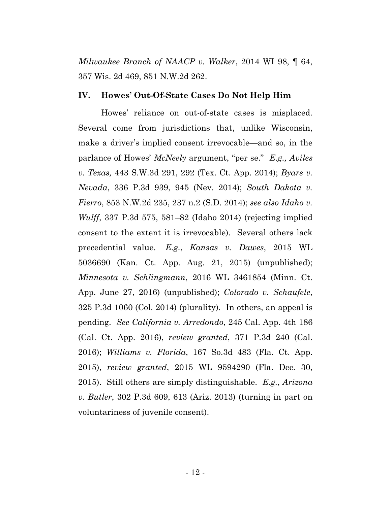*Milwaukee Branch of NAACP v. Walker*, 2014 WI 98, ¶ 64, 357 Wis. 2d 469, 851 N.W.2d 262.

#### <span id="page-13-0"></span>**IV. Howes' Out-Of-State Cases Do Not Help Him**

Howes' reliance on out-of-state cases is misplaced. Several come from jurisdictions that, unlike Wisconsin, make a driver's implied consent irrevocable—and so, in the parlance of Howes' *McNeely* argument, "per se." *E.g., Aviles v. Texas,* 443 S.W.3d 291, 292 (Tex. Ct. App. 2014); *Byars v. Nevada*, 336 P.3d 939, 945 (Nev. 2014); *South Dakota v. Fierro*, 853 N.W.2d 235, 237 n.2 (S.D. 2014); *see also Idaho v. Wulff*, 337 P.3d 575, 581–82 (Idaho 2014) (rejecting implied consent to the extent it is irrevocable). Several others lack precedential value. *E.g.*, *Kansas v. Dawes*, 2015 WL 5036690 (Kan. Ct. App. Aug. 21, 2015) (unpublished); *Minnesota v. Schlingmann*, 2016 WL 3461854 (Minn. Ct. App. June 27, 2016) (unpublished); *Colorado v. Schaufele*, 325 P.3d 1060 (Col. 2014) (plurality). In others, an appeal is pending. *See California v. Arredondo*, 245 Cal. App. 4th 186 (Cal. Ct. App. 2016), *review granted*, 371 P.3d 240 (Cal. 2016); *Williams v. Florida*, 167 So.3d 483 (Fla. Ct. App. 2015), *review granted*, 2015 WL 9594290 (Fla. Dec. 30, 2015). Still others are simply distinguishable. *E.g.*, *Arizona v. Butler*, 302 P.3d 609, 613 (Ariz. 2013) (turning in part on voluntariness of juvenile consent).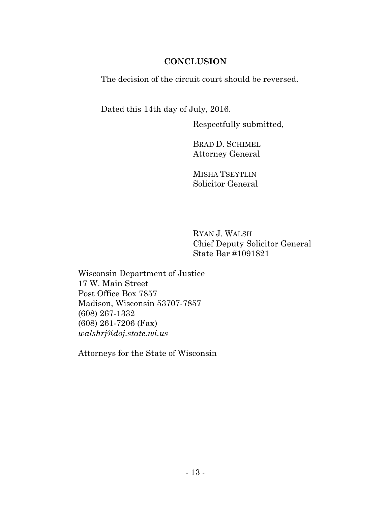## **CONCLUSION**

<span id="page-14-0"></span>The decision of the circuit court should be reversed.

Dated this 14th day of July, 2016.

Respectfully submitted,

BRAD D. SCHIMEL Attorney General

MISHA TSEYTLIN Solicitor General

RYAN J. WALSH Chief Deputy Solicitor General State Bar #1091821

Wisconsin Department of Justice 17 W. Main Street Post Office Box 7857 Madison, Wisconsin 53707-7857 (608) 267-1332 (608) 261-7206 (Fax) *walshrj@doj.state.wi.us* 

Attorneys for the State of Wisconsin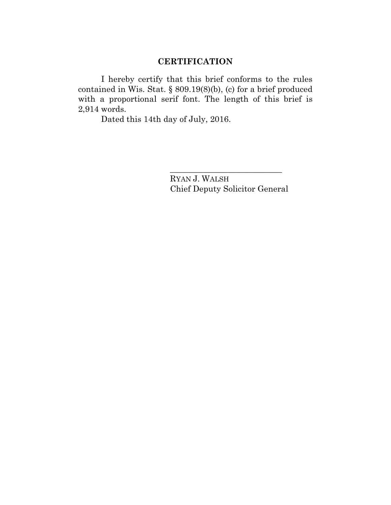## **CERTIFICATION**

I hereby certify that this brief conforms to the rules contained in Wis. Stat. § 809.19(8)(b), (c) for a brief produced with a proportional serif font. The length of this brief is 2,914 words.

Dated this 14th day of July, 2016.

RYAN J. WALSH Chief Deputy Solicitor General

\_\_\_\_\_\_\_\_\_\_\_\_\_\_\_\_\_\_\_\_\_\_\_\_\_\_\_